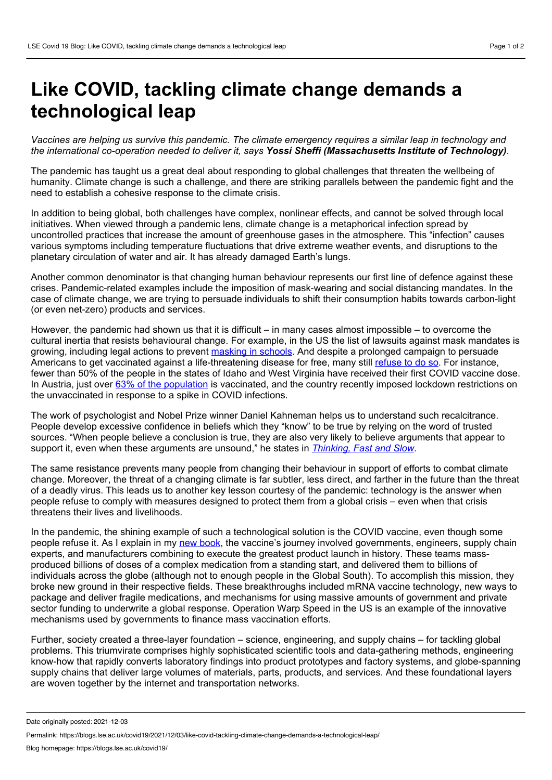## **Like COVID, tackling climate change demands a technological leap**

Vaccines are helping us survive this pandemic. The climate emergency requires a similar leap in technology and *the international co-operation needed to deliver it, says Yossi Sheffi (Massachusetts Institute of Technology).*

The pandemic has taught us a great deal about responding to global challenges that threaten the wellbeing of humanity. Climate change is such a challenge, and there are striking parallels between the pandemic fight and the need to establish a cohesive response to the climate crisis.

In addition to being global, both challenges have complex, nonlinear effects, and cannot be solved through local initiatives. When viewed through a pandemic lens, climate change is a metaphorical infection spread by uncontrolled practices that increase the amount of greenhouse gases in the atmosphere. This "infection" causes various symptoms including temperature fluctuations that drive extreme weather events, and disruptions to the planetary circulation of water and air. It has already damaged Earth's lungs.

Another common denominator is that changing human behaviour represents our first line of defence against these crises. Pandemic-related examples include the imposition of mask-wearing and social distancing mandates. In the case of climate change, we are trying to persuade individuals to shift their consumption habits towards carbon-light (or even net-zero) products and services.

However, the pandemic had shown us that it is difficult – in many cases almost impossible – to overcome the cultural inertia that resists behavioural change. For example, in the US the list of lawsuits against mask mandates is growing, including legal actions to prevent [masking](https://time.com/6103134/parents-fight-school-mask-mandates/) in schools. And despite a prolonged campaign to persuade Americans to get vaccinated against a life-threatening disease for free, many still [refuse](https://www.usnews.com/news/best-states/articles/these-states-have-the-lowest-covid-19-vaccination-rates) to do so. For instance, fewer than 50% of the people in the states of Idaho and West Virginia have received their first COVID vaccine dose. In Austria, just over 63% of the [population](https://www.wsj.com/articles/austria-imposes-restrictions-for-unvaccinated-considers-full-covid-19-lockdown-11636983501) is vaccinated, and the country recently imposed lockdown restrictions on the unvaccinated in response to a spike in COVID infections.

The work of psychologist and Nobel Prize winner Daniel Kahneman helps us to understand such recalcitrance. People develop excessive confidence in beliefs which they "know" to be true by relying on the word of trusted sources. "When people believe a conclusion is true, they are also very likely to believe arguments that appear to support it, even when these arguments are unsound," he states in *[Thinking,](https://www.penguin.co.uk/books/563/56314/thinking--fast-and-slow/9780141033570.html) Fast and Slow*.

The same resistance prevents many people from changing their behaviour in support of efforts to combat climate change. Moreover, the threat of a changing climate is far subtler, less direct, and farther in the future than the threat of a deadly virus. This leads us to another key lesson courtesy of the pandemic: technology is the answer when people refuse to comply with measures designed to protect them from aglobal crisis – even when that crisis threatens their lives and livelihoods.

In the pandemic, the shining example of such a technological solution is the COVID vaccine, even though some people refuse it. As I explain in my new [book,](https://sheffi.mit.edu/book/shot-arm) the vaccine's journey involved governments, engineers, supply chain experts, and manufacturers combining to execute the greatest product launch in history. These teams mass produced billions of doses of a complex medication from astanding start, and delivered them to billions of individuals across the globe (although not to enough people in the Global South). To accomplish this mission, they broke new ground in their respective fields. These breakthroughs included mRNA vaccine technology, new ways to package and deliver fragile medications, and mechanisms for using massive amounts of government and private sector funding to underwrite a global response. Operation Warp Speed in the US is an example of the innovative mechanisms used by governments to finance mass vaccination efforts.

Further, society created a three-layer foundation – science, engineering, and supply chains – for tackling global problems. This triumvirate comprises highly sophisticated scientific tools and data-gathering methods, engineering know-how that rapidly converts laboratory findings into product prototypes and factory systems, and globe-spanning supply chains that deliver large volumes of materials, parts, products, and services. And these foundational layers are woven together by the internet and transportation networks.

Date originally posted: 2021-12-03

Permalink: https://blogs.lse.ac.uk/covid19/2021/12/03/like-covid-tackling-climate-change-demands-a-technological-leap/